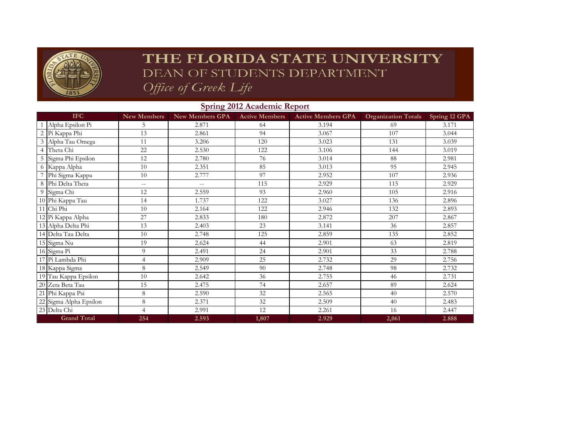

## THE FLORIDA STATE UNIVERSITY DEAN OF STUDENTS DEPARTMENT Office of Greek Life

## **New Members New Members GPA Active Members Active Members GPA Organization Totals Spring 12 GPA** 1 Alpha Epsilon Pi 5 1 2.871 64 3.194 69 3.171 2 Pi Kappa Phi 13 | 2.861 | 94 | 3.067 | 107 | 3.044 3 Alpha Tau Omega 11 1 3.206 120 3.023 131 3.039 4 Theta Chi 22 2.530 1 22 3.106 144 3.019 5 Sigma Phi Epsilon 12 12 2.780 1 76 3.014 88 2.981 6 Kappa Alpha 10 2.351 85 3.013 95 2.945 7 Phi Sigma Kappa 10 10 2.777 97 2.952 107 2.936 8 Phi Delta Theta 115 -- 115 115 115 115 2.929 9 Sigma Chi 12 | 2.559 | 93 | 2.960 | 105 | 2.916 10 Phi Kappa Tau 14 14 1.737 122 3.027 136 2.896 11 Chi Phi 132 | 2.893 10 | 2.164 | 122 | 2.946 | 132 | 2.893 12 Pi Kappa Alpha 27 2.833 180 2.872 2.877 2.867 13 Alpha Delta Phi 13 13 2.403 2.3 3.141 36 3.6 2.857 14 Delta Tau Delta 10 2.748 125 2.859 135 2.852<br>15 Sigma Nu 19 2.624 44 2.901 63 2.819 15 Sigma Nu 19 2.624 44 2.901 63 2.819 16 Sigma Pi 9 1 2.491 2.4 2.901 33 2.788 17 Pi Lambda Phi 4 2.909 25 2.732 29 2.756 18 Kappa Sigma 8 2.549 90 2.748 98 2.732 19 Tau Kappa Epsilon 10 10 2.642 36 2.755 46 46 2.731 20 Zeta Beta Tau 15 2.475 74 2.657 89 2.624 21 Phi Kappa Psi 8 2.590 32 2.565 40 2.570 22 Sigma Alpha Epsilon 8 8 2.371 32 2.509 40 40 2.483 23 Delta Chi 4 2.991 12 2.261 16 2.447 **254 2.593 1,807 2.929 2,061 2.888 IFC Grand Total**

## **Spring 2012 Academic Report**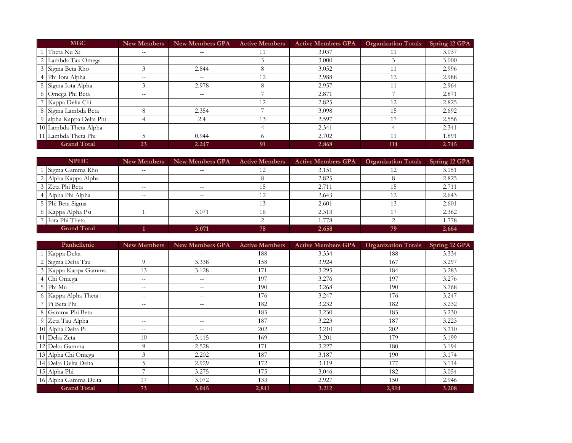| <b>MGC</b>         |                         | <b>New Members</b> | <b>New Members GPA</b> | <b>Active Members</b> | <b>Active Members GPA</b> | <b>Organization Totals</b> | Spring 12 GPA |
|--------------------|-------------------------|--------------------|------------------------|-----------------------|---------------------------|----------------------------|---------------|
|                    | Theta Nu Xi             | $- -$              | $- -$                  |                       | 3.037                     |                            | 3.037         |
|                    | 2 Lambda Tau Omega      | $- -$              | $\qquad \qquad -$      |                       | 3.000                     |                            | 3.000         |
|                    | 3 Sigma Beta Rho        | $\mathcal{E}$      | 2.844                  | 8                     | 3.052                     |                            | 2.996         |
|                    | 4 Phi Iota Alpha        | $- -$              | $- -$                  | 12                    | 2.988                     | 12                         | 2.988         |
|                    | 5 Sigma Iota Alpha      | 3                  | 2.978                  | 8                     | 2.957                     |                            | 2.964         |
|                    | 6 Omega Phi Beta        | $\qquad \qquad -$  | $--$                   |                       | 2.871                     |                            | 2.871         |
|                    | 7 Kappa Delta Chi       | $- -$              | $--$                   | 12                    | 2.825                     | 12                         | 2.825         |
|                    | 8 Sigma Lambda Beta     | 8                  | 2.354                  |                       | 3.098                     | 15                         | 2.692         |
|                    | 9 alpha Kappa Delta Phi | 4                  | 2.4                    | 13                    | 2.597                     |                            | 2.556         |
|                    | 10 Lambda Theta Alpha   | $- -$              | $- -$                  |                       | 2.341                     |                            | 2.341         |
|                    | 11 Lambda Theta Phi     |                    | 0.944                  | $\Omega$              | 2.702                     |                            | 1.891         |
| <b>Grand Total</b> |                         | 23                 | 2.247                  | 91                    | 2.868                     | 114                        | 2.745         |

| <b>NPHC</b>        |                     | New Members       | <b>New Members GPA</b> | <b>Active Members</b> | <b>Active Members GPA</b> | <b>Organization Totals</b> | Spring 12 GPA |
|--------------------|---------------------|-------------------|------------------------|-----------------------|---------------------------|----------------------------|---------------|
|                    | Sigma Gamma Rho     | $- -$             | $- -$                  |                       | 3.151                     |                            | 3.151         |
|                    | 2 Alpha Kappa Alpha | $\qquad \qquad -$ | $- -$                  |                       | 2.825                     |                            | 2.825         |
|                    | 3 Zeta Phi Beta     | $- -$             | $- -$                  | 15                    | 2.711                     |                            | 2.711         |
|                    | 4 Alpha Phi Alpha   | $- -$             | $- -$                  | 12                    | 2.643                     | 12                         | 2.643         |
|                    | 5 Phi Beta Sigma    | $- -$             | $- -$                  |                       | 2.601                     |                            | 2.601         |
|                    | 6 Kappa Alpha Psi   |                   | 3.071                  | 16                    | 2.313                     |                            | 2.362         |
|                    | Iota Phi Theta      | $- -$             | $- -$                  |                       | 1.778                     |                            | 1.778         |
| <b>Grand Total</b> |                     |                   | 3.071                  | 78                    | 2.658                     | 79                         | 2.664         |

| Panhellenic |                      | <b>New Members</b> | <b>New Members GPA</b>   | <b>Active Members</b> | <b>Active Members GPA</b> | <b>Organization Totals</b> | Spring 12 GPA |
|-------------|----------------------|--------------------|--------------------------|-----------------------|---------------------------|----------------------------|---------------|
|             | 1 Kappa Delta        | $- -$              | $\qquad \qquad -$        | 188                   | 3.334                     | 188                        | 3.334         |
|             | 2 Sigma Delta Tau    | 9                  | 3.338                    | 158                   | 3.924                     | 167                        | 3.297         |
|             | 3 Kappa Kappa Gamma  | 13                 | 3.128                    | 171                   | 3.295                     | 184                        | 3.283         |
|             | 4 Chi Omega          | $- -$              | $\overline{\phantom{m}}$ | 197                   | 3.276                     | 197                        | 3.276         |
|             | 5 Phi Mu             | $-\,-$             | $\overline{\phantom{m}}$ | 190                   | 3.268                     | 190                        | 3.268         |
|             | 6 Kappa Alpha Theta  | $- -$              | $\overline{\phantom{m}}$ | 176                   | 3.247                     | 176                        | 3.247         |
|             | 7 Pi Beta Phi        | $\qquad \qquad -$  | $\overline{\phantom{m}}$ | 182                   | 3.232                     | 182                        | 3.232         |
|             | 8 Gamma Phi Beta     | $\qquad \qquad -$  | $- -$                    | 183                   | 3.230                     | 183                        | 3.230         |
|             | 9 Zeta Tau Alpha     | $\qquad \qquad -$  | $-\,-$                   | 187                   | 3.223                     | 187                        | 3.223         |
|             | 10 Alpha Delta Pi    | $\qquad \qquad -$  | $- -$                    | 202                   | 3.210                     | 202                        | 3.210         |
|             | 11 Delta Zeta        | 10                 | 3.115                    | 169                   | 3.201                     | 179                        | 3.199         |
|             | 12 Delta Gamma       | 9                  | 2.528                    | 171                   | 3.227                     | 180                        | 3.194         |
|             | 13 Alpha Chi Omega   | 3                  | 2.202                    | 187                   | 3.187                     | 190                        | 3.174         |
|             | 14 Delta Delta Delta | 5                  | 2.929                    | 172                   | 3.119                     | 177                        | 3.114         |
|             | 15 Alpha Phi         | 7                  | 3.275                    | 175                   | 3.046                     | 182                        | 3.054         |
|             | 16 Alpha Gamma Delta | 17                 | 3.072                    | 133                   | 2.927                     | 150                        | 2.946         |
|             | <b>Grand Total</b>   | 73                 | 3.045                    | 2,841                 | 3.212                     | 2,914                      | 3.208         |